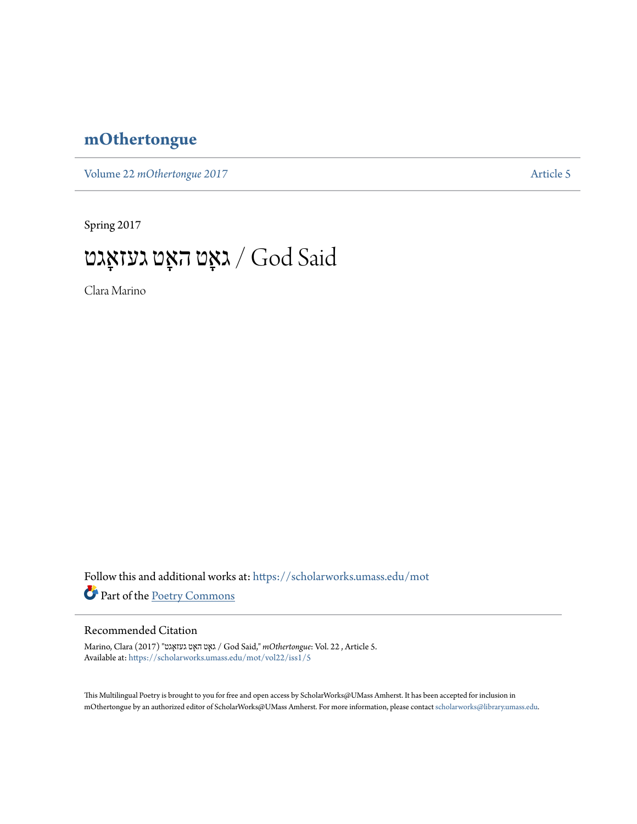## **[mOthertongue](https://scholarworks.umass.edu/mot?utm_source=scholarworks.umass.edu%2Fmot%2Fvol22%2Fiss1%2F5&utm_medium=PDF&utm_campaign=PDFCoverPages)**

Volume 22 *mOthertongue* 2017

Spring 2017

## גאָט האָט געזאָגט  $/$  God Said

Clara Marino

Follow this and additional works at: [https://scholarworks.umass.edu/mot](https://scholarworks.umass.edu/mot?utm_source=scholarworks.umass.edu%2Fmot%2Fvol22%2Fiss1%2F5&utm_medium=PDF&utm_campaign=PDFCoverPages) Part of the [Poetry Commons](http://network.bepress.com/hgg/discipline/1153?utm_source=scholarworks.umass.edu%2Fmot%2Fvol22%2Fiss1%2F5&utm_medium=PDF&utm_campaign=PDFCoverPages)

## Recommended Citation

Marino, Clara (2017) "אגטָגעז אטָ ה אטָג / God Said," *mOthertongue*: Vol. 22 , Article 5. Available at: [https://scholarworks.umass.edu/mot/vol22/iss1/5](https://scholarworks.umass.edu/mot/vol22/iss1/5?utm_source=scholarworks.umass.edu%2Fmot%2Fvol22%2Fiss1%2F5&utm_medium=PDF&utm_campaign=PDFCoverPages)

This Multilingual Poetry is brought to you for free and open access by ScholarWorks@UMass Amherst. It has been accepted for inclusion in mOthertongue by an authorized editor of ScholarWorks@UMass Amherst. For more information, please contact [scholarworks@library.umass.edu](mailto:scholarworks@library.umass.edu).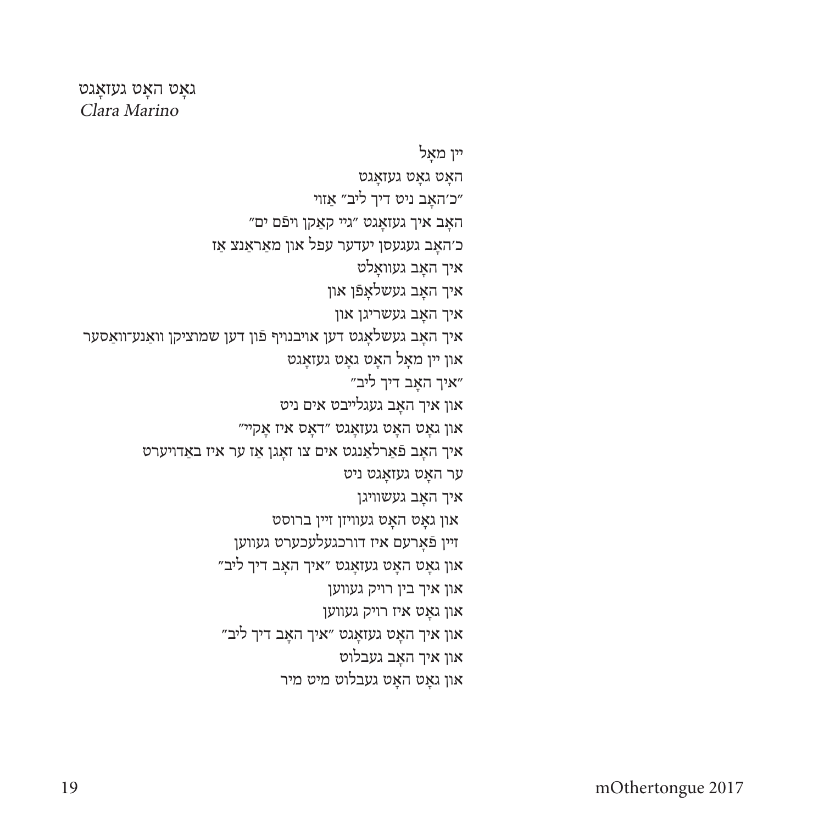## גאָט האָט געזאַגט Clara Marino

יין מאָל האָט גאָט געזאָגט ״כ׳האָב ניט דיך ליב״ אַזוי״ "האָב איך געזאָגט ״גײ קאַקן ױפֿם ים כ׳האָב געגעסן יעדער עפל און מאַראַנצ אַז איך האָב געוואָלט איך האָב געשלאָפֿן און איך האָב געשריגן און איך האָב געשלאָגט דען אויבנויף פֿון דען שמוציקן וואַנע־וואַסער און יין מאָל האָט גאָט געזאָגט ״איך האָב דיך ליב״ און איך האָב געגלייבט אים ניט און גאָט האָט געזאָגט ״דאָס איז אָקיי״ איך האָב פֿאַרלאַנגט אים צו זאָגן אַז ער איז באַדויערט ער האָט געזאָגט ניט איך האָב געשוויגן און גאָט האָט געוויזן זיין ברוסט זיין פֿאָרעם איז דורכגעלעכערט געווען און גאָט האָט געזאָגט ״איך האָב דיך ליב״ און איך בין רויק געווען און גאָט איז רויק געווען  $^{\prime\prime}$ יב דיך אין האָב דיך אין און איך אין און איך און איך האָב געבלוט און גאָט האָט געבלוט מיט מיר